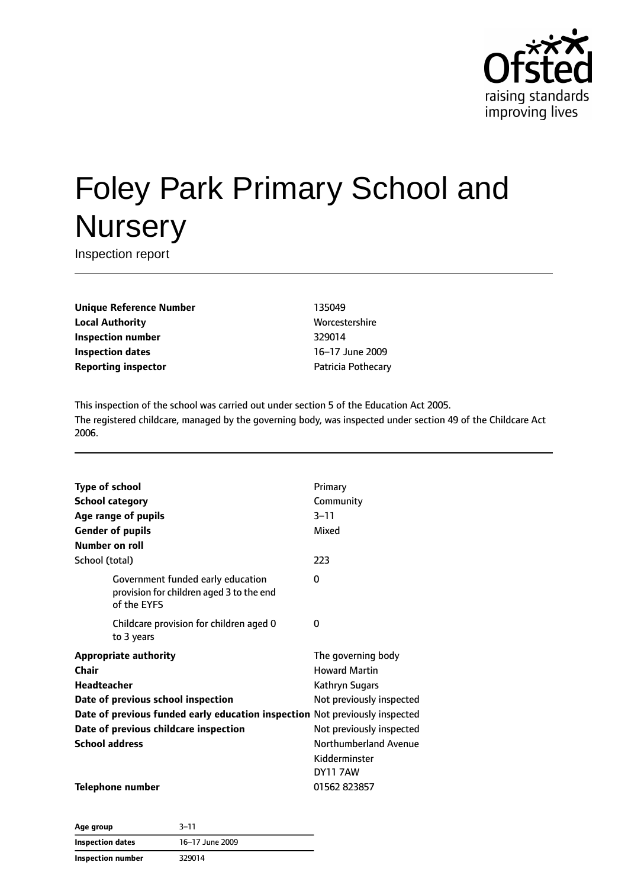

# Foley Park Primary School and **Nursery**

Inspection report

**Unique Reference Number** 135049 **Local Authority More** Worcestershire **Inspection number** 329014 **Inspection dates** 16–17 June 2009 **Reporting inspector CONFIDENTIAL PROPERTY** Patricia Pothecary

This inspection of the school was carried out under section 5 of the Education Act 2005. The registered childcare, managed by the governing body, was inspected under section 49 of the Childcare Act 2006.

| <b>Type of school</b>                                                                        | Primary                  |
|----------------------------------------------------------------------------------------------|--------------------------|
| <b>School category</b>                                                                       | Community                |
| Age range of pupils                                                                          | $3 - 11$                 |
| <b>Gender of pupils</b>                                                                      | Mixed                    |
| Number on roll                                                                               |                          |
| School (total)                                                                               | 223                      |
| Government funded early education<br>provision for children aged 3 to the end<br>of the EYFS | 0                        |
| Childcare provision for children aged 0<br>to 3 years                                        | 0                        |
| <b>Appropriate authority</b>                                                                 | The governing body       |
| Chair                                                                                        | <b>Howard Martin</b>     |
| <b>Headteacher</b>                                                                           | Kathryn Sugars           |
| Date of previous school inspection                                                           | Not previously inspected |
| Date of previous funded early education inspection Not previously inspected                  |                          |
| Date of previous childcare inspection                                                        | Not previously inspected |
| <b>School address</b>                                                                        | Northumberland Avenue    |
|                                                                                              | Kidderminster            |
|                                                                                              | <b>DY11 7AW</b>          |
| <b>Telephone number</b>                                                                      | 01562 823857             |

**Age group** 3–11 **Inspection dates** 16–17 June 2009 **Inspection number** 329014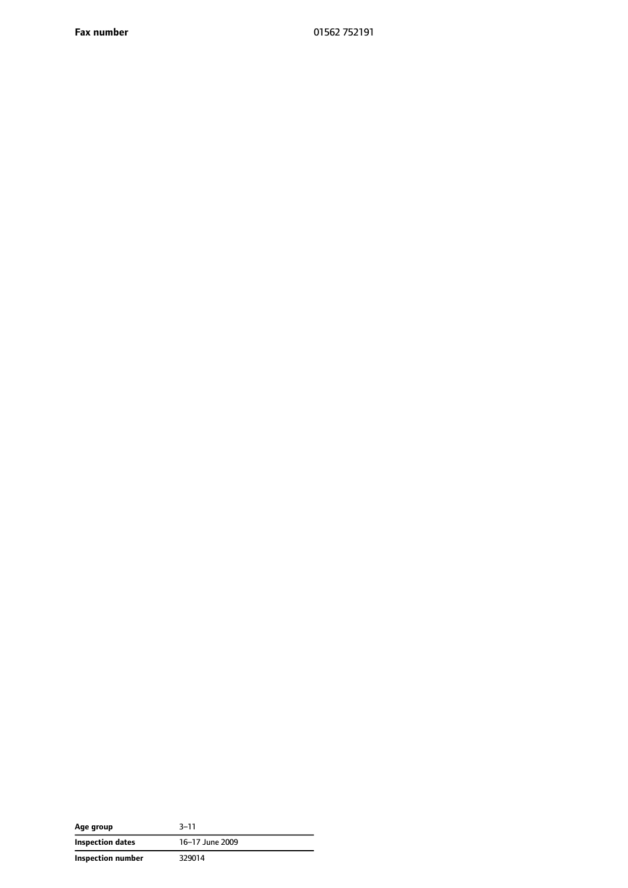**Fax number** 01562 752191

| Age group         | $3 - 11$        |
|-------------------|-----------------|
| Inspection dates  | 16-17 June 2009 |
| Inspection number | 329014          |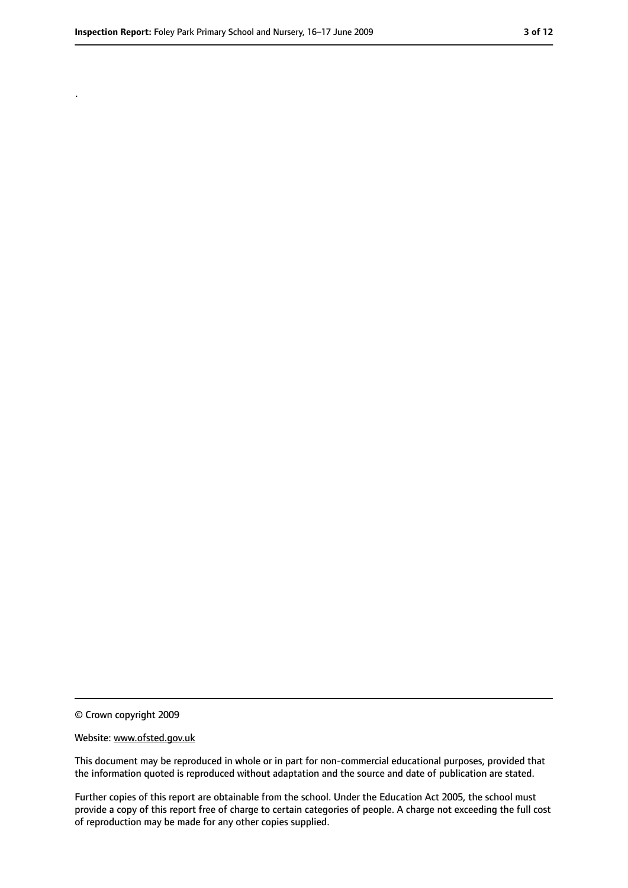.

<sup>©</sup> Crown copyright 2009

Website: www.ofsted.gov.uk

This document may be reproduced in whole or in part for non-commercial educational purposes, provided that the information quoted is reproduced without adaptation and the source and date of publication are stated.

Further copies of this report are obtainable from the school. Under the Education Act 2005, the school must provide a copy of this report free of charge to certain categories of people. A charge not exceeding the full cost of reproduction may be made for any other copies supplied.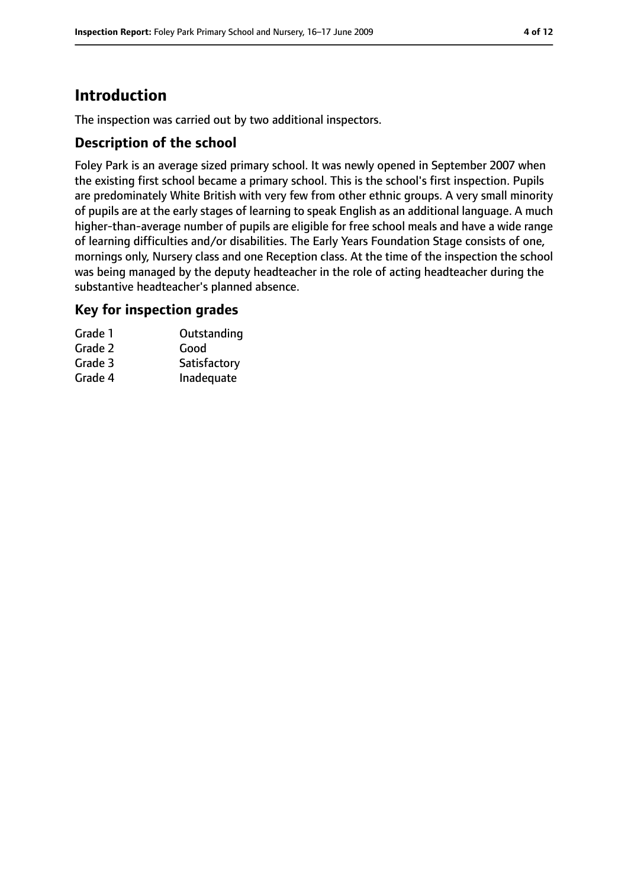# **Introduction**

The inspection was carried out by two additional inspectors.

## **Description of the school**

Foley Park is an average sized primary school. It was newly opened in September 2007 when the existing first school became a primary school. This is the school's first inspection. Pupils are predominately White British with very few from other ethnic groups. A very small minority of pupils are at the early stages of learning to speak English as an additional language. A much higher-than-average number of pupils are eligible for free school meals and have a wide range of learning difficulties and/or disabilities. The Early Years Foundation Stage consists of one, mornings only, Nursery class and one Reception class. At the time of the inspection the school was being managed by the deputy headteacher in the role of acting headteacher during the substantive headteacher's planned absence.

#### **Key for inspection grades**

| Grade 1 | Outstanding  |
|---------|--------------|
| Grade 2 | Good         |
| Grade 3 | Satisfactory |
| Grade 4 | Inadequate   |
|         |              |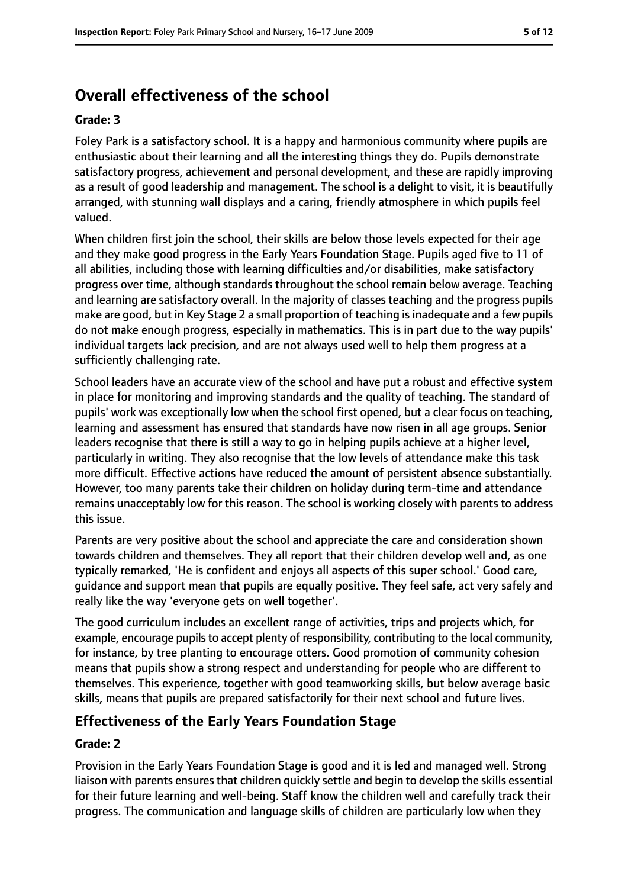# **Overall effectiveness of the school**

#### **Grade: 3**

Foley Park is a satisfactory school. It is a happy and harmonious community where pupils are enthusiastic about their learning and all the interesting things they do. Pupils demonstrate satisfactory progress, achievement and personal development, and these are rapidly improving as a result of good leadership and management. The school is a delight to visit, it is beautifully arranged, with stunning wall displays and a caring, friendly atmosphere in which pupils feel valued.

When children first join the school, their skills are below those levels expected for their age and they make good progress in the Early Years Foundation Stage. Pupils aged five to 11 of all abilities, including those with learning difficulties and/or disabilities, make satisfactory progress over time, although standards throughout the school remain below average. Teaching and learning are satisfactory overall. In the majority of classes teaching and the progress pupils make are good, but in Key Stage 2 a small proportion of teaching is inadequate and a few pupils do not make enough progress, especially in mathematics. This is in part due to the way pupils' individual targets lack precision, and are not always used well to help them progress at a sufficiently challenging rate.

School leaders have an accurate view of the school and have put a robust and effective system in place for monitoring and improving standards and the quality of teaching. The standard of pupils' work was exceptionally low when the school first opened, but a clear focus on teaching, learning and assessment has ensured that standards have now risen in all age groups. Senior leaders recognise that there is still a way to go in helping pupils achieve at a higher level, particularly in writing. They also recognise that the low levels of attendance make this task more difficult. Effective actions have reduced the amount of persistent absence substantially. However, too many parents take their children on holiday during term-time and attendance remains unacceptably low for this reason. The school is working closely with parents to address this issue.

Parents are very positive about the school and appreciate the care and consideration shown towards children and themselves. They all report that their children develop well and, as one typically remarked, 'He is confident and enjoys all aspects of this super school.' Good care, guidance and support mean that pupils are equally positive. They feel safe, act very safely and really like the way 'everyone gets on well together'.

The good curriculum includes an excellent range of activities, trips and projects which, for example, encourage pupils to accept plenty of responsibility, contributing to the local community, for instance, by tree planting to encourage otters. Good promotion of community cohesion means that pupils show a strong respect and understanding for people who are different to themselves. This experience, together with good teamworking skills, but below average basic skills, means that pupils are prepared satisfactorily for their next school and future lives.

#### **Effectiveness of the Early Years Foundation Stage**

#### **Grade: 2**

Provision in the Early Years Foundation Stage is good and it is led and managed well. Strong liaison with parents ensures that children quickly settle and begin to develop the skills essential for their future learning and well-being. Staff know the children well and carefully track their progress. The communication and language skills of children are particularly low when they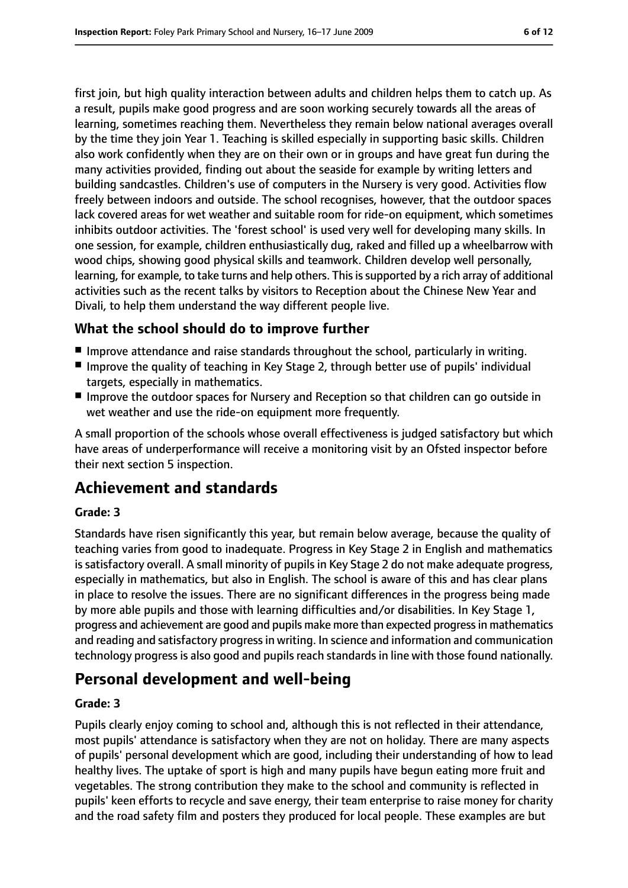first join, but high quality interaction between adults and children helps them to catch up. As a result, pupils make good progress and are soon working securely towards all the areas of learning, sometimes reaching them. Nevertheless they remain below national averages overall by the time they join Year 1. Teaching is skilled especially in supporting basic skills. Children also work confidently when they are on their own or in groups and have great fun during the many activities provided, finding out about the seaside for example by writing letters and building sandcastles. Children's use of computers in the Nursery is very good. Activities flow freely between indoors and outside. The school recognises, however, that the outdoor spaces lack covered areas for wet weather and suitable room for ride-on equipment, which sometimes inhibits outdoor activities. The 'forest school' is used very well for developing many skills. In one session, for example, children enthusiastically dug, raked and filled up a wheelbarrow with wood chips, showing good physical skills and teamwork. Children develop well personally, learning, for example, to take turns and help others. This is supported by a rich array of additional activities such as the recent talks by visitors to Reception about the Chinese New Year and Divali, to help them understand the way different people live.

## **What the school should do to improve further**

- Improve attendance and raise standards throughout the school, particularly in writing.
- Improve the quality of teaching in Key Stage 2, through better use of pupils' individual targets, especially in mathematics.
- Improve the outdoor spaces for Nursery and Reception so that children can go outside in wet weather and use the ride-on equipment more frequently.

A small proportion of the schools whose overall effectiveness is judged satisfactory but which have areas of underperformance will receive a monitoring visit by an Ofsted inspector before their next section 5 inspection.

# **Achievement and standards**

#### **Grade: 3**

Standards have risen significantly this year, but remain below average, because the quality of teaching varies from good to inadequate. Progress in Key Stage 2 in English and mathematics is satisfactory overall. A small minority of pupils in Key Stage 2 do not make adequate progress, especially in mathematics, but also in English. The school is aware of this and has clear plans in place to resolve the issues. There are no significant differences in the progress being made by more able pupils and those with learning difficulties and/or disabilities. In Key Stage 1, progress and achievement are good and pupils make more than expected progressin mathematics and reading and satisfactory progress in writing. In science and information and communication technology progress is also good and pupils reach standards in line with those found nationally.

## **Personal development and well-being**

#### **Grade: 3**

Pupils clearly enjoy coming to school and, although this is not reflected in their attendance, most pupils' attendance is satisfactory when they are not on holiday. There are many aspects of pupils' personal development which are good, including their understanding of how to lead healthy lives. The uptake of sport is high and many pupils have begun eating more fruit and vegetables. The strong contribution they make to the school and community is reflected in pupils' keen efforts to recycle and save energy, their team enterprise to raise money for charity and the road safety film and posters they produced for local people. These examples are but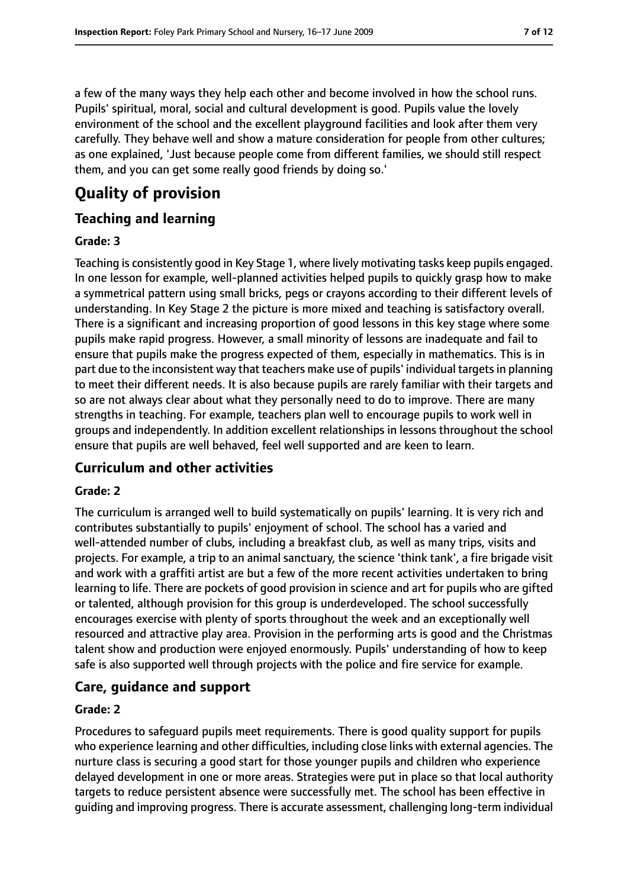a few of the many ways they help each other and become involved in how the school runs. Pupils' spiritual, moral, social and cultural development is good. Pupils value the lovely environment of the school and the excellent playground facilities and look after them very carefully. They behave well and show a mature consideration for people from other cultures; as one explained, 'Just because people come from different families, we should still respect them, and you can get some really good friends by doing so.'

# **Quality of provision**

#### **Teaching and learning**

#### **Grade: 3**

Teaching is consistently good in Key Stage 1, where lively motivating tasks keep pupils engaged. In one lesson for example, well-planned activities helped pupils to quickly grasp how to make a symmetrical pattern using small bricks, pegs or crayons according to their different levels of understanding. In Key Stage 2 the picture is more mixed and teaching is satisfactory overall. There is a significant and increasing proportion of good lessons in this key stage where some pupils make rapid progress. However, a small minority of lessons are inadequate and fail to ensure that pupils make the progress expected of them, especially in mathematics. This is in part due to the inconsistent way that teachers make use of pupils' individual targets in planning to meet their different needs. It is also because pupils are rarely familiar with their targets and so are not always clear about what they personally need to do to improve. There are many strengths in teaching. For example, teachers plan well to encourage pupils to work well in groups and independently. In addition excellent relationships in lessons throughout the school ensure that pupils are well behaved, feel well supported and are keen to learn.

#### **Curriculum and other activities**

#### **Grade: 2**

The curriculum is arranged well to build systematically on pupils' learning. It is very rich and contributes substantially to pupils' enjoyment of school. The school has a varied and well-attended number of clubs, including a breakfast club, as well as many trips, visits and projects. For example, a trip to an animal sanctuary, the science 'think tank', a fire brigade visit and work with a graffiti artist are but a few of the more recent activities undertaken to bring learning to life. There are pockets of good provision in science and art for pupils who are gifted or talented, although provision for this group is underdeveloped. The school successfully encourages exercise with plenty of sports throughout the week and an exceptionally well resourced and attractive play area. Provision in the performing arts is good and the Christmas talent show and production were enjoyed enormously. Pupils' understanding of how to keep safe is also supported well through projects with the police and fire service for example.

## **Care, guidance and support**

#### **Grade: 2**

Procedures to safeguard pupils meet requirements. There is good quality support for pupils who experience learning and other difficulties, including close links with external agencies. The nurture class is securing a good start for those younger pupils and children who experience delayed development in one or more areas. Strategies were put in place so that local authority targets to reduce persistent absence were successfully met. The school has been effective in guiding and improving progress. There is accurate assessment, challenging long-term individual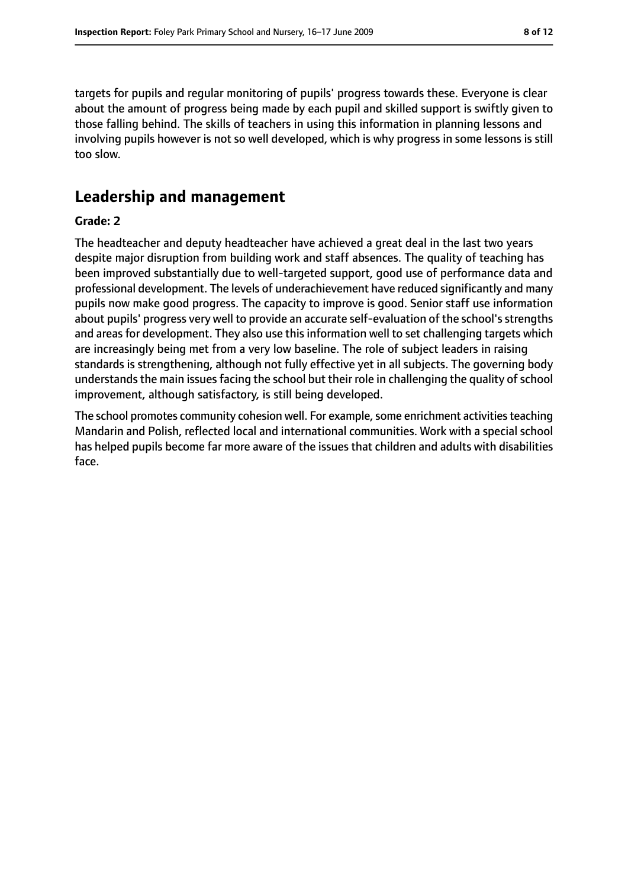targets for pupils and regular monitoring of pupils' progress towards these. Everyone is clear about the amount of progress being made by each pupil and skilled support is swiftly given to those falling behind. The skills of teachers in using this information in planning lessons and involving pupils however is not so well developed, which is why progress in some lessons is still too slow.

## **Leadership and management**

#### **Grade: 2**

The headteacher and deputy headteacher have achieved a great deal in the last two years despite major disruption from building work and staff absences. The quality of teaching has been improved substantially due to well-targeted support, good use of performance data and professional development. The levels of underachievement have reduced significantly and many pupils now make good progress. The capacity to improve is good. Senior staff use information about pupils' progress very well to provide an accurate self-evaluation of the school's strengths and areas for development. They also use this information well to set challenging targets which are increasingly being met from a very low baseline. The role of subject leaders in raising standards is strengthening, although not fully effective yet in all subjects. The governing body understands the main issues facing the school but their role in challenging the quality of school improvement, although satisfactory, is still being developed.

The school promotes community cohesion well. For example, some enrichment activities teaching Mandarin and Polish, reflected local and international communities. Work with a special school has helped pupils become far more aware of the issues that children and adults with disabilities face.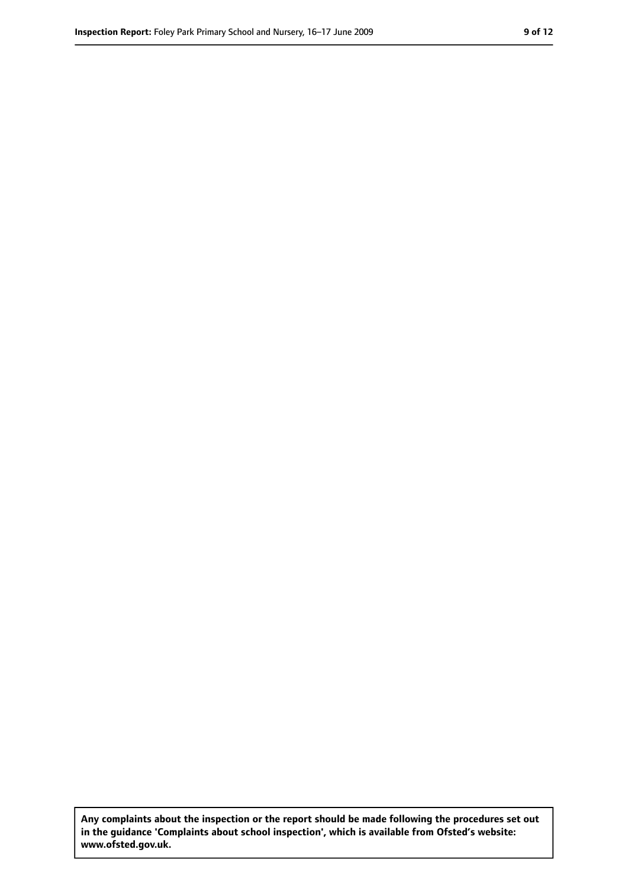**Any complaints about the inspection or the report should be made following the procedures set out in the guidance 'Complaints about school inspection', which is available from Ofsted's website: www.ofsted.gov.uk.**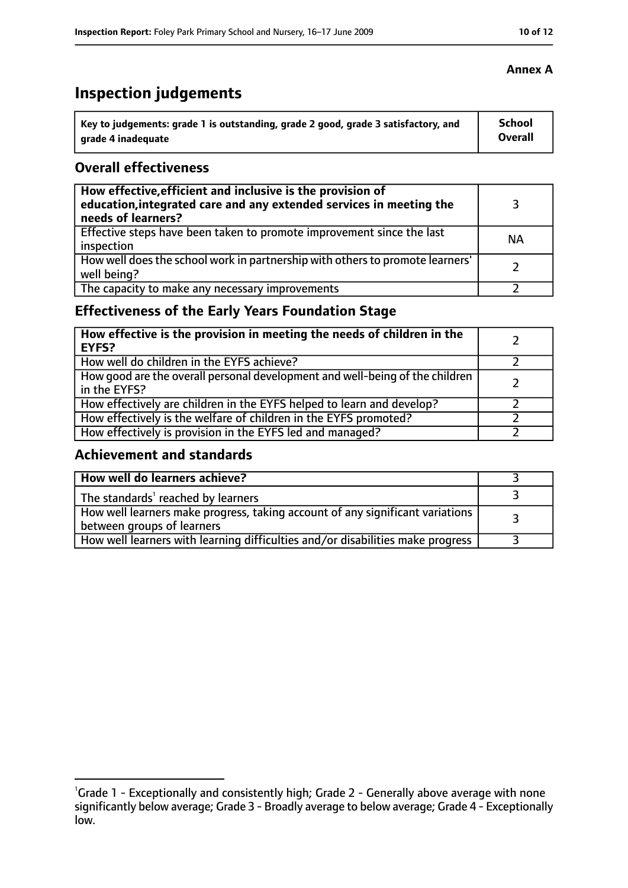# **Inspection judgements**

| Key to judgements: grade 1 is outstanding, grade 2 good, grade 3 satisfactory, and | <b>School</b> |
|------------------------------------------------------------------------------------|---------------|
| arade 4 inadequate                                                                 | Overall       |

## **Overall effectiveness**

| How effective, efficient and inclusive is the provision of<br>education, integrated care and any extended services in meeting the<br>needs of learners? |           |
|---------------------------------------------------------------------------------------------------------------------------------------------------------|-----------|
| Effective steps have been taken to promote improvement since the last<br>inspection                                                                     | <b>NA</b> |
| How well does the school work in partnership with others to promote learners'<br>well being?                                                            |           |
| The capacity to make any necessary improvements                                                                                                         |           |

## **Effectiveness of the Early Years Foundation Stage**

| How effective is the provision in meeting the needs of children in the<br><b>EYFS?</b>       |  |
|----------------------------------------------------------------------------------------------|--|
| How well do children in the EYFS achieve?                                                    |  |
| How good are the overall personal development and well-being of the children<br>in the EYFS? |  |
| How effectively are children in the EYFS helped to learn and develop?                        |  |
| How effectively is the welfare of children in the EYFS promoted?                             |  |
| How effectively is provision in the EYFS led and managed?                                    |  |

## **Achievement and standards**

| How well do learners achieve?                                                                               |  |
|-------------------------------------------------------------------------------------------------------------|--|
| The standards <sup>1</sup> reached by learners                                                              |  |
| How well learners make progress, taking account of any significant variations<br>between groups of learners |  |
| How well learners with learning difficulties and/or disabilities make progress                              |  |

#### **Annex A**

<sup>&</sup>lt;sup>1</sup>Grade 1 - Exceptionally and consistently high; Grade 2 - Generally above average with none significantly below average; Grade 3 - Broadly average to below average; Grade 4 - Exceptionally low.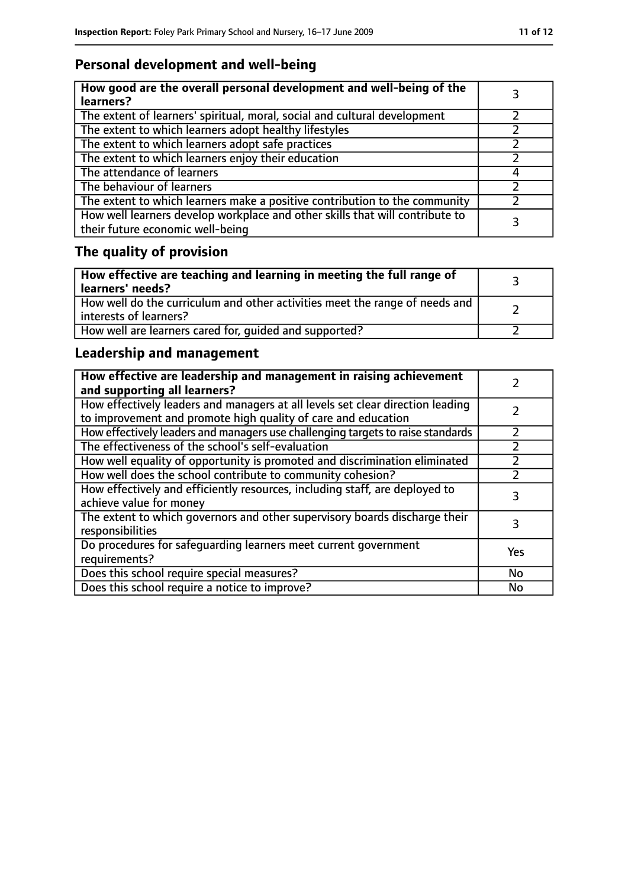# **Personal development and well-being**

| How good are the overall personal development and well-being of the<br>learners?                                 |  |
|------------------------------------------------------------------------------------------------------------------|--|
| The extent of learners' spiritual, moral, social and cultural development                                        |  |
| The extent to which learners adopt healthy lifestyles                                                            |  |
| The extent to which learners adopt safe practices                                                                |  |
| The extent to which learners enjoy their education                                                               |  |
| The attendance of learners                                                                                       |  |
| The behaviour of learners                                                                                        |  |
| The extent to which learners make a positive contribution to the community                                       |  |
| How well learners develop workplace and other skills that will contribute to<br>their future economic well-being |  |

# **The quality of provision**

| How effective are teaching and learning in meeting the full range of<br>learners' needs?              |  |
|-------------------------------------------------------------------------------------------------------|--|
| How well do the curriculum and other activities meet the range of needs and<br>interests of learners? |  |
| How well are learners cared for, quided and supported?                                                |  |

## **Leadership and management**

| How effective are leadership and management in raising achievement<br>and supporting all learners?                                              |     |
|-------------------------------------------------------------------------------------------------------------------------------------------------|-----|
| How effectively leaders and managers at all levels set clear direction leading<br>to improvement and promote high quality of care and education |     |
| How effectively leaders and managers use challenging targets to raise standards                                                                 |     |
| The effectiveness of the school's self-evaluation                                                                                               |     |
| How well equality of opportunity is promoted and discrimination eliminated                                                                      |     |
| How well does the school contribute to community cohesion?                                                                                      |     |
| How effectively and efficiently resources, including staff, are deployed to<br>achieve value for money                                          | 3   |
| The extent to which governors and other supervisory boards discharge their<br>responsibilities                                                  | 3   |
| Do procedures for safequarding learners meet current government<br>requirements?                                                                | Yes |
| Does this school require special measures?                                                                                                      | No  |
| Does this school require a notice to improve?                                                                                                   | No  |